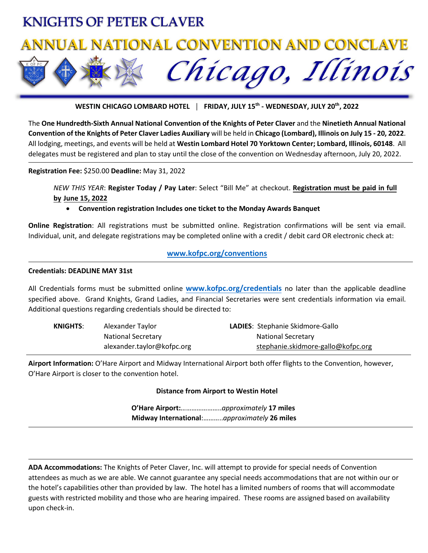# **KNIGHTS OF PETER CLAVER**

# **ANNUAL NATIONAL CONVENTION AND CONCLAVE**

Chicago, Illinois

**WESTIN CHICAGO LOMBARD HOTEL │ FRIDAY, JULY 15th - WEDNESDAY, JULY 20th, 2022**

The **One Hundredth-Sixth Annual National Convention of the Knights of Peter Claver** and the **Ninetieth Annual National Convention of the Knights of Peter Claver Ladies Auxiliary** will be held in **Chicago (Lombard), Illinois on July 15 - 20, 2022**. All lodging, meetings, and events will be held at **Westin Lombard Hotel 70 Yorktown Center; Lombard, Illinois, 60148**. All delegates must be registered and plan to stay until the close of the convention on Wednesday afternoon, July 20, 2022.

**Registration Fee:** \$250.00 **Deadline:** May 31, 2022

*NEW THIS YEAR*: **Register Today / Pay Later**: Select "Bill Me" at checkout. **Registration must be paid in full by June 15, 2022**

• **Convention registration Includes one ticket to the Monday Awards Banquet**

**Online Registration**: All registrations must be submitted online. Registration confirmations will be sent via email. Individual, unit, and delegate registrations may be completed online with a credit / debit card OR electronic check at:

## **[www.kofpc.org/conventions](http://www.kofpc.org/conventions)**

#### **Credentials: DEADLINE MAY 31st**

All Credentials forms must be submitted online **[www.kofpc.org/credentials](http://www.kofpc.org/credentials)** no later than the applicable deadline specified above. Grand Knights, Grand Ladies, and Financial Secretaries were sent credentials information via email. Additional questions regarding credentials should be directed to:

| <b>KNIGHTS:</b> | Alexander Taylor           | <b>LADIES: Stephanie Skidmore-Gallo</b> |
|-----------------|----------------------------|-----------------------------------------|
|                 | <b>National Secretary</b>  | <b>National Secretary</b>               |
|                 | alexander.taylor@kofpc.org | stephanie.skidmore-gallo@kofpc.org      |

**Airport Information:** O'Hare Airport and Midway International Airport both offer flights to the Convention, however, O'Hare Airport is closer to the convention hotel.

**Distance from Airport to Westin Hotel**

**O'Hare Airport:**…………………..*approximately* **17 miles Midway International**:………..*approximately* **26 miles** 

**ADA Accommodations:** The Knights of Peter Claver, Inc. will attempt to provide for special needs of Convention attendees as much as we are able. We cannot guarantee any special needs accommodations that are not within our or the hotel's capabilities other than provided by law. The hotel has a limited numbers of rooms that will accommodate guests with restricted mobility and those who are hearing impaired. These rooms are assigned based on availability upon check-in.